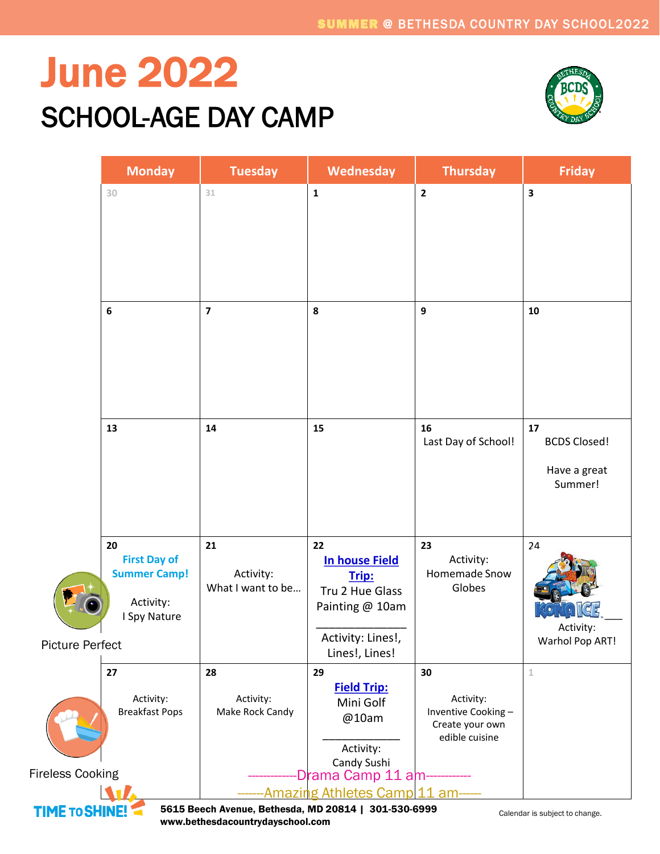## June 2022 SCHOOL-AGE DAY CAMP



|                                                                                                                                                       | <b>Monday</b>                                                                 | <b>Tuesday</b>                       | Wednesday                                                                                                         | <b>Thursday</b>                                                            | <b>Friday</b>                                        |  |  |
|-------------------------------------------------------------------------------------------------------------------------------------------------------|-------------------------------------------------------------------------------|--------------------------------------|-------------------------------------------------------------------------------------------------------------------|----------------------------------------------------------------------------|------------------------------------------------------|--|--|
|                                                                                                                                                       | 30                                                                            | 31                                   | $\mathbf 1$                                                                                                       | $\overline{\mathbf{c}}$                                                    | 3                                                    |  |  |
|                                                                                                                                                       | 6                                                                             | $\overline{\mathbf{z}}$              | 8                                                                                                                 | $\overline{9}$                                                             | 10                                                   |  |  |
|                                                                                                                                                       | 13                                                                            | 14                                   | 15                                                                                                                | 16<br>Last Day of School!                                                  | 17<br><b>BCDS Closed!</b><br>Have a great<br>Summer! |  |  |
| <b>Picture Perfect</b>                                                                                                                                | 20<br><b>First Day of</b><br><b>Summer Camp!</b><br>Activity:<br>I Spy Nature | 21<br>Activity:<br>What I want to be | 22<br><b>In house Field</b><br>Trip:<br>Tru 2 Hue Glass<br>Painting @ 10am<br>Activity: Lines!,<br>Lines!, Lines! | 23<br>Activity:<br>Homemade Snow<br>Globes                                 | 24<br>Activity:<br>Warhol Pop ART!                   |  |  |
|                                                                                                                                                       | 27<br>Activity:<br><b>Breakfast Pops</b>                                      | 28<br>Activity:<br>Make Rock Candy   | 29<br><b>Field Trip:</b><br>Mini Golf<br>@10am<br>Activity:<br>Candy Sushi                                        | 30<br>Activity:<br>Inventive Cooking-<br>Create your own<br>edible cuisine | $\mathbbm{1}$                                        |  |  |
| <b>Fireless Cooking</b>                                                                                                                               |                                                                               |                                      | Drama Camp 11 am                                                                                                  |                                                                            |                                                      |  |  |
| <b>Amazing Athletes Camp 11 am</b><br>5615 Beech Avenue, Bethesda, MD 20814   301-530-6999<br><b>TIME TO SHINE!</b><br>Calendar is subject to change. |                                                                               |                                      |                                                                                                                   |                                                                            |                                                      |  |  |

www.bethesdacountrydayschool.com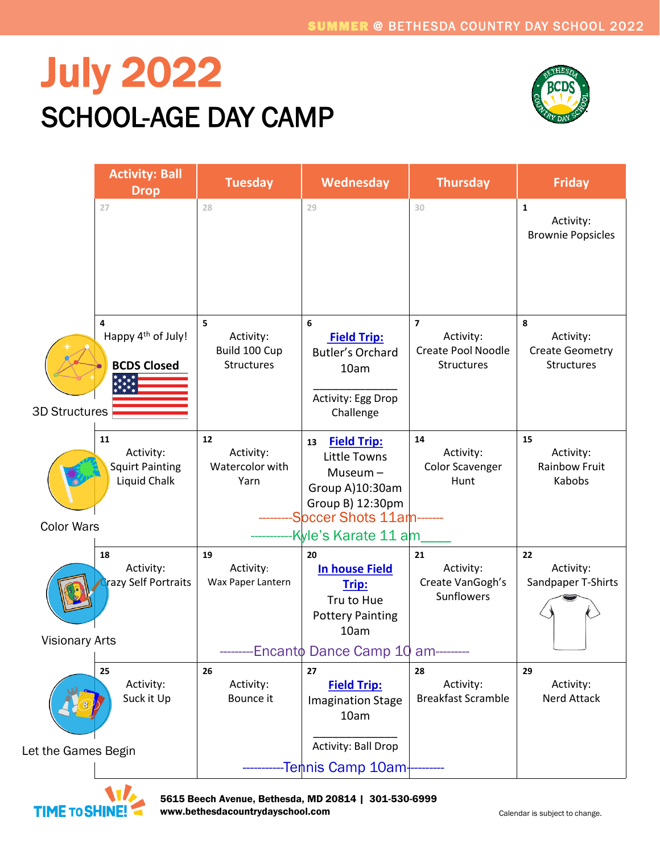## July 2022 SCHOOL-AGE DAY CAMP



| <b>Activity: Ball</b><br><b>Drop</b>                                              | <b>Tuesday</b>                                | Wednesday                                                                                                                                        | <b>Thursday</b>                                                               | <b>Friday</b>                                          |
|-----------------------------------------------------------------------------------|-----------------------------------------------|--------------------------------------------------------------------------------------------------------------------------------------------------|-------------------------------------------------------------------------------|--------------------------------------------------------|
| 27                                                                                | 28                                            | 29                                                                                                                                               | 30                                                                            | $\mathbf{1}$<br>Activity:<br><b>Brownie Popsicles</b>  |
| 4<br>Happy 4 <sup>th</sup> of July!<br><b>BCDS Closed</b><br><b>3D Structures</b> | 5<br>Activity:<br>Build 100 Cup<br>Structures | 6<br><b>Field Trip:</b><br><b>Butler's Orchard</b><br>10am<br>Activity: Egg Drop<br>Challenge                                                    | $\overline{ }$<br>Activity:<br><b>Create Pool Noodle</b><br><b>Structures</b> | 8<br>Activity:<br><b>Create Geometry</b><br>Structures |
| 11<br>Activity:<br><b>Squirt Painting</b><br>Liquid Chalk<br><b>Color Wars</b>    | 12<br>Activity:<br>Watercolor with<br>Yarn    | <b>Field Trip:</b><br>13<br><b>Little Towns</b><br>$Museum -$<br>Group A)10:30am<br>Group B) 12:30pm<br>Soccer Shots 11am<br>Kyle's Karate 11 am | 14<br>Activity:<br><b>Color Scavenger</b><br>Hunt                             | 15<br>Activity:<br><b>Rainbow Fruit</b><br>Kabobs      |
| 18<br>Activity:<br>razy Self Portraits<br><b>Visionary Arts</b>                   | 19<br>Activity:<br>Wax Paper Lantern          | 20<br><b>In house Field</b><br>Trip:<br>Tru to Hue<br><b>Pottery Painting</b><br>10am<br>Encanto Dance Camp 10 am--                              | 21<br>Activity:<br>Create VanGogh's<br><b>Sunflowers</b>                      | 22<br>Activity:<br>Sandpaper T-Shirts                  |
| 25<br>Activity:<br>Suck it Up<br>Let the Games Begin                              | 26<br>Activity:<br>Bounce it                  | 27<br><b>Field Trip:</b><br><b>Imagination Stage</b><br>10am<br>Activity: Ball Drop<br>-Tennis Camp 10am∤                                        | 28<br>Activity:<br><b>Breakfast Scramble</b>                                  | 29<br>Activity:<br>Nerd Attack                         |